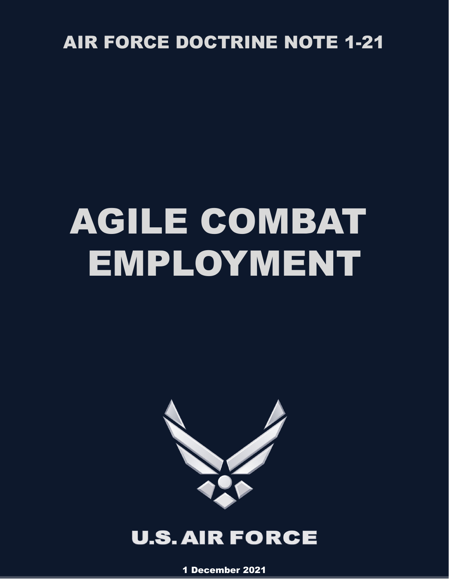# AIR FORCE DOCTRINE NOTE 1-21

# AGILE COMBAT EMPLOYMENT



# **U.S. AIR FORCE**

1 December 2021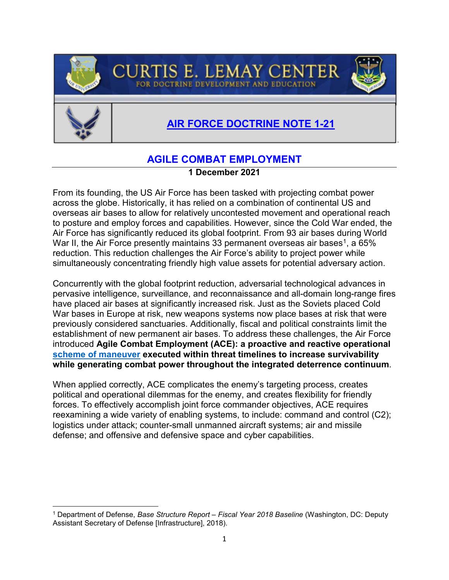



## **AGILE COMBAT EMPLOYMENT AIR FORCE DOCTRINE NOTE 1-21**

### **AGILE COMBAT EMPLOYMENT**

**CURTIS E. LEMAY CENTER** 

FOR DOCTRINE DEVELOPMENT

#### **1 December 2021**

From its founding, the US Air Force has been tasked with projecting combat power across the globe. Historically, it has relied on a combination of continental US and overseas air bases to allow for relatively uncontested movement and operational reach to posture and employ forces and capabilities. However, since the Cold War ended, the Air Force has significantly reduced its global footprint. From 93 air bases during World War II, the Air Force presently maintains 33 permanent overseas air bases<sup>[1](#page-1-0)</sup>, a 65% reduction. This reduction challenges the Air Force's ability to project power while simultaneously concentrating friendly high value assets for potential adversary action.

Concurrently with the global footprint reduction, adversarial technological advances in pervasive intelligence, surveillance, and reconnaissance and all-domain long-range fires have placed air bases at significantly increased risk. Just as the Soviets placed Cold War bases in Europe at risk, new weapons systems now place bases at risk that were previously considered sanctuaries. Additionally, fiscal and political constraints limit the establishment of new permanent air bases. To address these challenges, the Air Force introduced **Agile Combat Employment (ACE): a proactive and reactive operational [scheme of maneuver](https://www.jcs.mil/Portals/36/Documents/Doctrine/pubs/jp5_0.pdf?ver=us_fQ_pGS_u65ateysmAng%3d%3d#page=354) executed within threat timelines to increase survivability while generating combat power throughout the integrated deterrence continuum**.

When applied correctly, ACE complicates the enemy's targeting process, creates political and operational dilemmas for the enemy, and creates flexibility for friendly forces. To effectively accomplish joint force commander objectives, ACE requires reexamining a wide variety of enabling systems, to include: command and control (C2); logistics under attack; counter-small unmanned aircraft systems; air and missile defense; and offensive and defensive space and cyber capabilities.

<span id="page-1-0"></span><sup>1</sup> Department of Defense, *Base Structure Report – Fiscal Year 2018 Baseline* (Washington, DC: Deputy Assistant Secretary of Defense [Infrastructure], 2018).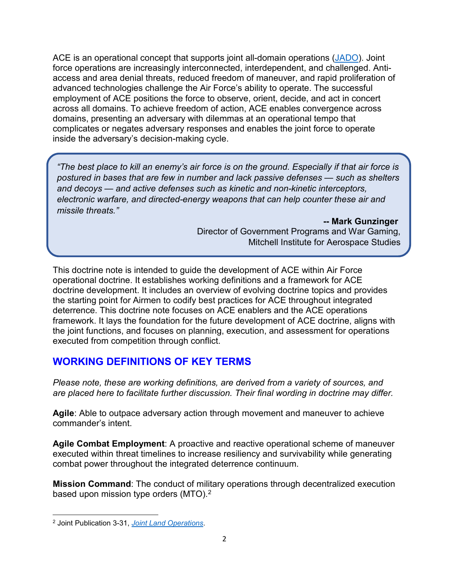ACE is an operational concept that supports joint all-domain operations [\(JADO\)](https://www.doctrine.af.mil/Doctrine-Publications/AFDP-3-99-DAF-Role-in-Jt-All-Domain-Ops-JADO/https:/www.doctrine.af.mil/Doctrine-Publications/AFDP-3-99-DAF-Role-in-Jt-All-Domain-Ops-JADO/). Joint force operations are increasingly interconnected, interdependent, and challenged. Antiaccess and area denial threats, reduced freedom of maneuver, and rapid proliferation of advanced technologies challenge the Air Force's ability to operate. The successful employment of ACE positions the force to observe, orient, decide, and act in concert across all domains. To achieve freedom of action, ACE enables convergence across domains, presenting an adversary with dilemmas at an operational tempo that complicates or negates adversary responses and enables the joint force to operate inside the adversary's decision-making cycle.

*"The best place to kill an enemy's air force is on the ground. Especially if that air force is postured in bases that are few in number and lack passive defenses — such as shelters and decoys — and active defenses such as kinetic and non-kinetic interceptors, electronic warfare, and directed-energy weapons that can help counter these air and missile threats."*

> **-- Mark Gunzinger** Director of Government Programs and War Gaming, Mitchell Institute for Aerospace Studies

This doctrine note is intended to guide the development of ACE within Air Force operational doctrine. It establishes working definitions and a framework for ACE doctrine development. It includes an overview of evolving doctrine topics and provides the starting point for Airmen to codify best practices for ACE throughout integrated deterrence. This doctrine note focuses on ACE enablers and the ACE operations framework. It lays the foundation for the future development of ACE doctrine, aligns with the joint functions, and focuses on planning, execution, and assessment for operations executed from competition through conflict.

#### **WORKING DEFINITIONS OF KEY TERMS**

*Please note, these are working definitions, are derived from a variety of sources, and are placed here to facilitate further discussion. Their final wording in doctrine may differ.*

**Agile**: Able to outpace adversary action through movement and maneuver to achieve commander's intent.

**Agile Combat Employment**: A proactive and reactive operational scheme of maneuver executed within threat timelines to increase resiliency and survivability while generating combat power throughout the integrated deterrence continuum.

**Mission Command**: The conduct of military operations through decentralized execution based upon mission type orders (MTO). [2](#page-2-0)

l

<span id="page-2-0"></span><sup>2</sup> Joint Publication 3-31, *[Joint Land Operations](https://www.jcs.mil/Portals/36/Documents/Doctrine/pubs/jp3_31.pdf?ver=2019-12-18-153903-197#page=93)*.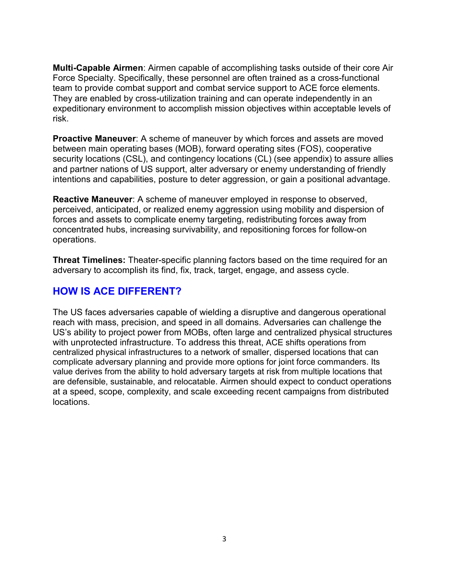**Multi-Capable Airmen**: Airmen capable of accomplishing tasks outside of their core Air Force Specialty. Specifically, these personnel are often trained as a cross-functional team to provide combat support and combat service support to ACE force elements. They are enabled by cross-utilization training and can operate independently in an expeditionary environment to accomplish mission objectives within acceptable levels of risk.

**Proactive Maneuver**: A scheme of maneuver by which forces and assets are moved between main operating bases (MOB), forward operating sites (FOS), cooperative security locations (CSL), and contingency locations (CL) (see appendix) to assure allies and partner nations of US support, alter adversary or enemy understanding of friendly intentions and capabilities, posture to deter aggression, or gain a positional advantage.

**Reactive Maneuver**: A scheme of maneuver employed in response to observed, perceived, anticipated, or realized enemy aggression using mobility and dispersion of forces and assets to complicate enemy targeting, redistributing forces away from concentrated hubs, increasing survivability, and repositioning forces for follow-on operations.

**Threat Timelines:** Theater-specific planning factors based on the time required for an adversary to accomplish its find, fix, track, target, engage, and assess cycle.

#### **HOW IS ACE DIFFERENT?**

The US faces adversaries capable of wielding a disruptive and dangerous operational reach with mass, precision, and speed in all domains. Adversaries can challenge the US's ability to project power from MOBs, often large and centralized physical structures with unprotected infrastructure. To address this threat, ACE shifts operations from centralized physical infrastructures to a network of smaller, dispersed locations that can complicate adversary planning and provide more options for joint force commanders. Its value derives from the ability to hold adversary targets at risk from multiple locations that are defensible, sustainable, and relocatable. Airmen should expect to conduct operations at a speed, scope, complexity, and scale exceeding recent campaigns from distributed locations.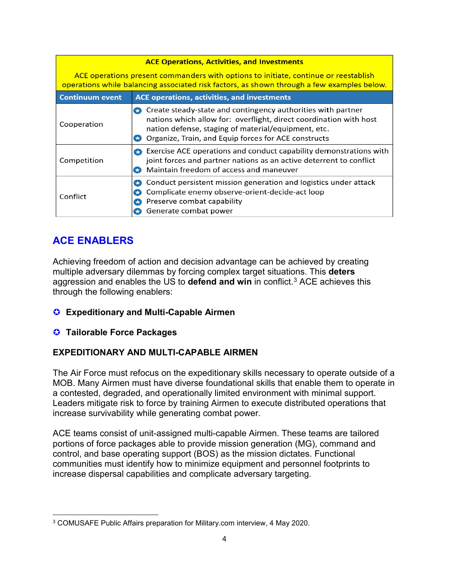| <b>ACE Operations, Activities, and Investments</b>                                                                                                                                |                                                                                                                                                                                                                                                   |  |  |  |  |  |  |
|-----------------------------------------------------------------------------------------------------------------------------------------------------------------------------------|---------------------------------------------------------------------------------------------------------------------------------------------------------------------------------------------------------------------------------------------------|--|--|--|--|--|--|
| ACE operations present commanders with options to initiate, continue or reestablish<br>operations while balancing associated risk factors, as shown through a few examples below. |                                                                                                                                                                                                                                                   |  |  |  |  |  |  |
| <b>Continuum event</b>                                                                                                                                                            | ACE operations, activities, and investments                                                                                                                                                                                                       |  |  |  |  |  |  |
| Cooperation                                                                                                                                                                       | Create steady-state and contingency authorities with partner<br>nations which allow for: overflight, direct coordination with host<br>nation defense, staging of material/equipment, etc.<br>Organize, Train, and Equip forces for ACE constructs |  |  |  |  |  |  |
| Competition                                                                                                                                                                       | Exercise ACE operations and conduct capability demonstrations with<br>joint forces and partner nations as an active deterrent to conflict<br>Maintain freedom of access and maneuver                                                              |  |  |  |  |  |  |
| Conflict                                                                                                                                                                          | Conduct persistent mission generation and logistics under attack<br>Complicate enemy observe-orient-decide-act loop<br>Preserve combat capability<br>Generate combat power                                                                        |  |  |  |  |  |  |

#### **ACE ENABLERS**

Achieving freedom of action and decision advantage can be achieved by creating multiple adversary dilemmas by forcing complex target situations. This **deters** aggression and enables the US to **defend and win** in conflict.[3](#page-4-0) ACE achieves this through the following enablers:

- **Expeditionary and Multi-Capable Airmen**
- **Tailorable Force Packages**

#### **EXPEDITIONARY AND MULTI-CAPABLE AIRMEN**

The Air Force must refocus on the expeditionary skills necessary to operate outside of a MOB. Many Airmen must have diverse foundational skills that enable them to operate in a contested, degraded, and operationally limited environment with minimal support. Leaders mitigate risk to force by training Airmen to execute distributed operations that increase survivability while generating combat power.

ACE teams consist of unit-assigned multi-capable Airmen. These teams are tailored portions of force packages able to provide mission generation (MG), command and control, and base operating support (BOS) as the mission dictates. Functional communities must identify how to minimize equipment and personnel footprints to increase dispersal capabilities and complicate adversary targeting.

<span id="page-4-0"></span>l <sup>3</sup> COMUSAFE Public Affairs preparation for Military.com interview, 4 May 2020.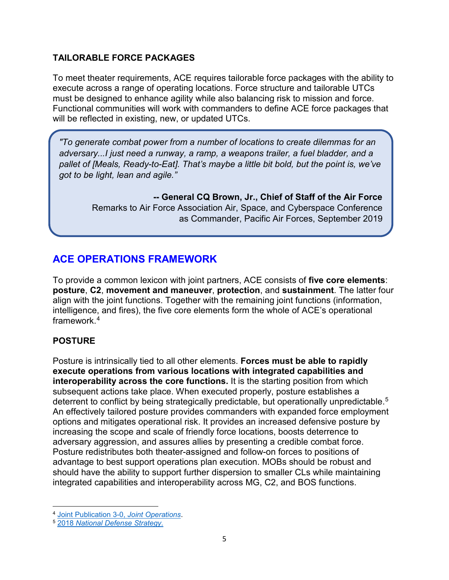#### **TAILORABLE FORCE PACKAGES**

To meet theater requirements, ACE requires tailorable force packages with the ability to execute across a range of operating locations. Force structure and tailorable UTCs must be designed to enhance agility while also balancing risk to mission and force. Functional communities will work with commanders to define ACE force packages that will be reflected in existing, new, or updated UTCs.

*"To generate combat power from a number of locations to create dilemmas for an adversary...I just need a runway, a ramp, a weapons trailer, a fuel bladder, and a pallet of [Meals, Ready-to-Eat]. That's maybe a little bit bold, but the point is, we've got to be light, lean and agile."*

> **-- General CQ Brown, Jr., Chief of Staff of the Air Force**  Remarks to Air Force Association Air, Space, and Cyberspace Conference as Commander, Pacific Air Forces, September 2019

#### **ACE OPERATIONS FRAMEWORK**

To provide a common lexicon with joint partners, ACE consists of **five core elements**: **posture**, **C2**, **movement and maneuver**, **protection**, and **sustainment**. The latter four align with the joint functions. Together with the remaining joint functions (information, intelligence, and fires), the five core elements form the whole of ACE's operational framework $4$ 

#### **POSTURE**

Posture is intrinsically tied to all other elements. **Forces must be able to rapidly execute operations from various locations with integrated capabilities and interoperability across the core functions.** It is the starting position from which subsequent actions take place. When executed properly, posture establishes a deterrent to conflict by being strategically predictable, but operationally unpredictable.<sup>5</sup> An effectively tailored posture provides commanders with expanded force employment options and mitigates operational risk. It provides an increased defensive posture by increasing the scope and scale of friendly force locations, boosts deterrence to adversary aggression, and assures allies by presenting a credible combat force. Posture redistributes both theater-assigned and follow-on forces to positions of advantage to best support operations plan execution. MOBs should be robust and should have the ability to support further dispersion to smaller CLs while maintaining integrated capabilities and interoperability across MG, C2, and BOS functions.

l <sup>4</sup> [Joint Publication 3-0,](https://www.jcs.mil/Portals/36/Documents/Doctrine/pubs/jp3_0ch1.pdf) *Joint Operations*.

<span id="page-5-1"></span><span id="page-5-0"></span><sup>5</sup> 2018 *[National Defense Strategy.](https://dod.defense.gov/Portals/1/Documents/pubs/2018-National-Defense-Strategy-Summary.pdf)*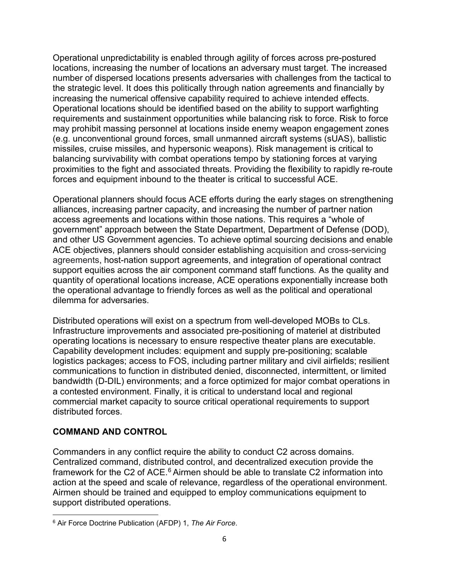Operational unpredictability is enabled through agility of forces across pre-postured locations, increasing the number of locations an adversary must target. The increased number of dispersed locations presents adversaries with challenges from the tactical to the strategic level. It does this politically through nation agreements and financially by increasing the numerical offensive capability required to achieve intended effects. Operational locations should be identified based on the ability to support warfighting requirements and sustainment opportunities while balancing risk to force. Risk to force may prohibit massing personnel at locations inside enemy weapon engagement zones (e.g. unconventional ground forces, small unmanned aircraft systems (sUAS), ballistic missiles, cruise missiles, and hypersonic weapons). Risk management is critical to balancing survivability with combat operations tempo by stationing forces at varying proximities to the fight and associated threats. Providing the flexibility to rapidly re-route forces and equipment inbound to the theater is critical to successful ACE.

Operational planners should focus ACE efforts during the early stages on strengthening alliances, increasing partner capacity, and increasing the number of partner nation access agreements and locations within those nations. This requires a "whole of government" approach between the State Department, Department of Defense (DOD), and other US Government agencies. To achieve optimal sourcing decisions and enable ACE objectives, planners should consider establishing acquisition and cross-servicing agreements, host-nation support agreements, and integration of operational contract support equities across the air component command staff functions*.* As the quality and quantity of operational locations increase, ACE operations exponentially increase both the operational advantage to friendly forces as well as the political and operational dilemma for adversaries.

Distributed operations will exist on a spectrum from well-developed MOBs to CLs. Infrastructure improvements and associated pre-positioning of materiel at distributed operating locations is necessary to ensure respective theater plans are executable. Capability development includes: equipment and supply pre-positioning; scalable logistics packages; access to FOS, including partner military and civil airfields; resilient communications to function in distributed denied, disconnected, intermittent, or limited bandwidth (D-DIL) environments; and a force optimized for major combat operations in a contested environment. Finally, it is critical to understand local and regional commercial market capacity to source critical operational requirements to support distributed forces.

#### **COMMAND AND CONTROL**

Commanders in any conflict require the ability to conduct C2 across domains. Centralized command, distributed control, and decentralized execution provide the framework for the C2 of ACE.<sup>[6](#page-6-0)</sup> Airmen should be able to translate C2 information into action at the speed and scale of relevance, regardless of the operational environment. Airmen should be trained and equipped to employ communications equipment to support distributed operations.

<span id="page-6-0"></span>l <sup>6</sup> Air Force Doctrine Publication (AFDP) 1, *The Air Force*.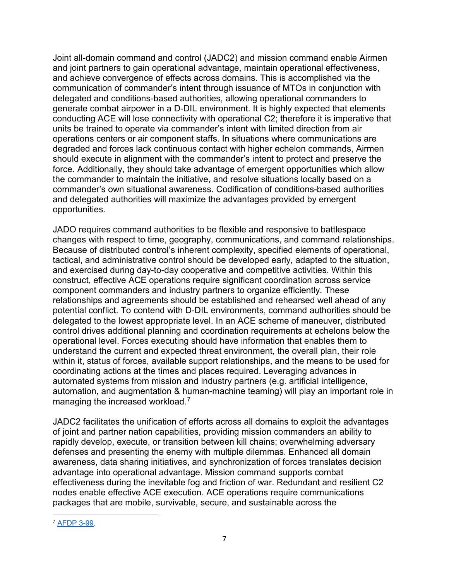Joint all-domain command and control (JADC2) and mission command enable Airmen and joint partners to gain operational advantage, maintain operational effectiveness, and achieve convergence of effects across domains. This is accomplished via the communication of commander's intent through issuance of MTOs in conjunction with delegated and conditions-based authorities, allowing operational commanders to generate combat airpower in a D-DIL environment. It is highly expected that elements conducting ACE will lose connectivity with operational C2; therefore it is imperative that units be trained to operate via commander's intent with limited direction from air operations centers or air component staffs. In situations where communications are degraded and forces lack continuous contact with higher echelon commands, Airmen should execute in alignment with the commander's intent to protect and preserve the force. Additionally, they should take advantage of emergent opportunities which allow the commander to maintain the initiative, and resolve situations locally based on a commander's own situational awareness. Codification of conditions-based authorities and delegated authorities will maximize the advantages provided by emergent opportunities.

JADO requires command authorities to be flexible and responsive to battlespace changes with respect to time, geography, communications, and command relationships. Because of distributed control's inherent complexity, specified elements of operational, tactical, and administrative control should be developed early, adapted to the situation, and exercised during day-to-day cooperative and competitive activities. Within this construct, effective ACE operations require significant coordination across service component commanders and industry partners to organize efficiently. These relationships and agreements should be established and rehearsed well ahead of any potential conflict. To contend with D-DIL environments, command authorities should be delegated to the lowest appropriate level. In an ACE scheme of maneuver, distributed control drives additional planning and coordination requirements at echelons below the operational level. Forces executing should have information that enables them to understand the current and expected threat environment, the overall plan, their role within it, status of forces, available support relationships, and the means to be used for coordinating actions at the times and places required. Leveraging advances in automated systems from mission and industry partners (e.g. artificial intelligence, automation, and augmentation & human-machine teaming) will play an important role in managing the increased workload.<sup>[7](#page-7-0)</sup>

JADC2 facilitates the unification of efforts across all domains to exploit the advantages of joint and partner nation capabilities, providing mission commanders an ability to rapidly develop, execute, or transition between kill chains; overwhelming adversary defenses and presenting the enemy with multiple dilemmas. Enhanced all domain awareness, data sharing initiatives, and synchronization of forces translates decision advantage into operational advantage. Mission command supports combat effectiveness during the inevitable fog and friction of war. Redundant and resilient C2 nodes enable effective ACE execution. ACE operations require communications packages that are mobile, survivable, secure, and sustainable across the

<span id="page-7-0"></span>l <sup>7</sup> [AFDP 3-99](https://www.doctrine.af.mil/Doctrine-Publications/AFDP-3-99-DAF-Role-in-Jt-All-Domain-Ops-JADO/)*.*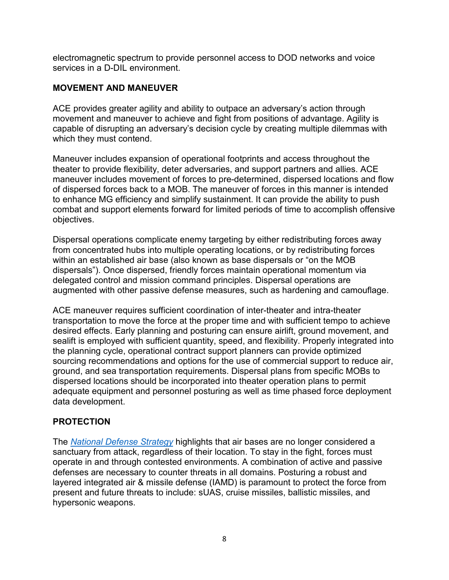electromagnetic spectrum to provide personnel access to DOD networks and voice services in a D-DIL environment.

#### **MOVEMENT AND MANEUVER**

ACE provides greater agility and ability to outpace an adversary's action through movement and maneuver to achieve and fight from positions of advantage. Agility is capable of disrupting an adversary's decision cycle by creating multiple dilemmas with which they must contend.

Maneuver includes expansion of operational footprints and access throughout the theater to provide flexibility, deter adversaries, and support partners and allies. ACE maneuver includes movement of forces to pre-determined, dispersed locations and flow of dispersed forces back to a MOB. The maneuver of forces in this manner is intended to enhance MG efficiency and simplify sustainment. It can provide the ability to push combat and support elements forward for limited periods of time to accomplish offensive objectives.

Dispersal operations complicate enemy targeting by either redistributing forces away from concentrated hubs into multiple operating locations, or by redistributing forces within an established air base (also known as base dispersals or "on the MOB dispersals"). Once dispersed, friendly forces maintain operational momentum via delegated control and mission command principles. Dispersal operations are augmented with other passive defense measures, such as hardening and camouflage.

ACE maneuver requires sufficient coordination of inter-theater and intra-theater transportation to move the force at the proper time and with sufficient tempo to achieve desired effects. Early planning and posturing can ensure airlift, ground movement, and sealift is employed with sufficient quantity, speed, and flexibility. Properly integrated into the planning cycle, operational contract support planners can provide optimized sourcing recommendations and options for the use of commercial support to reduce air, ground, and sea transportation requirements. Dispersal plans from specific MOBs to dispersed locations should be incorporated into theater operation plans to permit adequate equipment and personnel posturing as well as time phased force deployment data development.

#### **PROTECTION**

The *[National Defense Strategy](https://dod.defense.gov/Portals/1/Documents/pubs/2018-National-Defense-Strategy-Summary.pdf)* highlights that air bases are no longer considered a sanctuary from attack, regardless of their location. To stay in the fight, forces must operate in and through contested environments. A combination of active and passive defenses are necessary to counter threats in all domains. Posturing a robust and layered integrated air & missile defense (IAMD) is paramount to protect the force from present and future threats to include: sUAS, cruise missiles, ballistic missiles, and hypersonic weapons.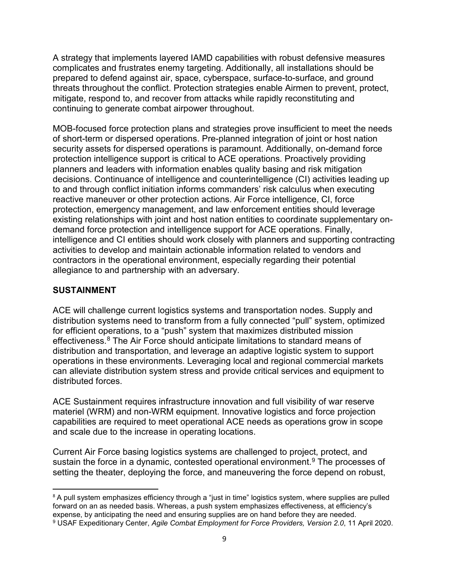A strategy that implements layered IAMD capabilities with robust defensive measures complicates and frustrates enemy targeting. Additionally, all installations should be prepared to defend against air, space, cyberspace, surface-to-surface, and ground threats throughout the conflict. Protection strategies enable Airmen to prevent, protect, mitigate, respond to, and recover from attacks while rapidly reconstituting and continuing to generate combat airpower throughout.

MOB-focused force protection plans and strategies prove insufficient to meet the needs of short-term or dispersed operations. Pre-planned integration of joint or host nation security assets for dispersed operations is paramount. Additionally, on-demand force protection intelligence support is critical to ACE operations. Proactively providing planners and leaders with information enables quality basing and risk mitigation decisions. Continuance of intelligence and counterintelligence (CI) activities leading up to and through conflict initiation informs commanders' risk calculus when executing reactive maneuver or other protection actions. Air Force intelligence, CI, force protection, emergency management, and law enforcement entities should leverage existing relationships with joint and host nation entities to coordinate supplementary ondemand force protection and intelligence support for ACE operations. Finally, intelligence and CI entities should work closely with planners and supporting contracting activities to develop and maintain actionable information related to vendors and contractors in the operational environment, especially regarding their potential allegiance to and partnership with an adversary.

#### **SUSTAINMENT**

ACE will challenge current logistics systems and transportation nodes. Supply and distribution systems need to transform from a fully connected "pull" system, optimized for efficient operations, to a "push" system that maximizes distributed mission effectiveness.<sup>[8](#page-9-0)</sup> The Air Force should anticipate limitations to standard means of distribution and transportation, and leverage an adaptive logistic system to support operations in these environments. Leveraging local and regional commercial markets can alleviate distribution system stress and provide critical services and equipment to distributed forces.

ACE Sustainment requires infrastructure innovation and full visibility of war reserve materiel (WRM) and non-WRM equipment. Innovative logistics and force projection capabilities are required to meet operational ACE needs as operations grow in scope and scale due to the increase in operating locations.

Current Air Force basing logistics systems are challenged to project, protect, and sustain the force in a dynamic, contested operational environment.<sup>9</sup> The processes of setting the theater, deploying the force, and maneuvering the force depend on robust,

<span id="page-9-0"></span><sup>&</sup>lt;sup>8</sup> A pull system emphasizes efficiency through a "just in time" logistics system, where supplies are pulled forward on an as needed basis. Whereas, a push system emphasizes effectiveness, at efficiency's expense, by anticipating the need and ensuring supplies are on hand before they are needed.

<span id="page-9-1"></span><sup>9</sup> USAF Expeditionary Center, *Agile Combat Employment for Force Providers, Version 2.0*, 11 April 2020.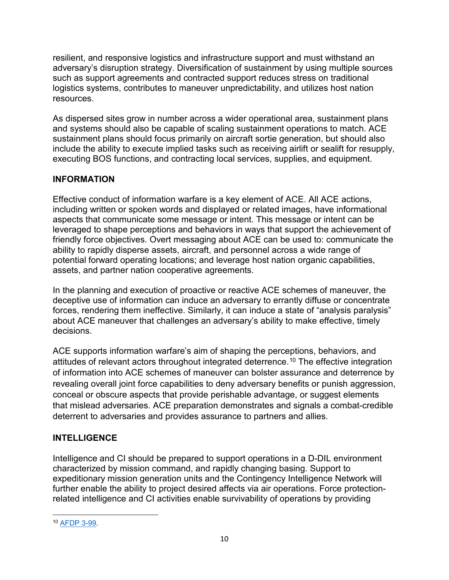resilient, and responsive logistics and infrastructure support and must withstand an adversary's disruption strategy. Diversification of sustainment by using multiple sources such as support agreements and contracted support reduces stress on traditional logistics systems, contributes to maneuver unpredictability, and utilizes host nation resources.

As dispersed sites grow in number across a wider operational area, sustainment plans and systems should also be capable of scaling sustainment operations to match. ACE sustainment plans should focus primarily on aircraft sortie generation, but should also include the ability to execute implied tasks such as receiving airlift or sealift for resupply, executing BOS functions, and contracting local services, supplies, and equipment.

#### **INFORMATION**

Effective conduct of information warfare is a key element of ACE. All ACE actions, including written or spoken words and displayed or related images, have informational aspects that communicate some message or intent. This message or intent can be leveraged to shape perceptions and behaviors in ways that support the achievement of friendly force objectives. Overt messaging about ACE can be used to: communicate the ability to rapidly disperse assets, aircraft, and personnel across a wide range of potential forward operating locations; and leverage host nation organic capabilities, assets, and partner nation cooperative agreements.

In the planning and execution of proactive or reactive ACE schemes of maneuver, the deceptive use of information can induce an adversary to errantly diffuse or concentrate forces, rendering them ineffective. Similarly, it can induce a state of "analysis paralysis" about ACE maneuver that challenges an adversary's ability to make effective, timely decisions.

ACE supports information warfare's aim of shaping the perceptions, behaviors, and attitudes of relevant actors throughout integrated deterrence. [10](#page-10-0) The effective integration of information into ACE schemes of maneuver can bolster assurance and deterrence by revealing overall joint force capabilities to deny adversary benefits or punish aggression, conceal or obscure aspects that provide perishable advantage, or suggest elements that mislead adversaries. ACE preparation demonstrates and signals a combat-credible deterrent to adversaries and provides assurance to partners and allies.

#### **INTELLIGENCE**

Intelligence and CI should be prepared to support operations in a D-DIL environment characterized by mission command, and rapidly changing basing. Support to expeditionary mission generation units and the Contingency Intelligence Network will further enable the ability to project desired affects via air operations. Force protectionrelated intelligence and CI activities enable survivability of operations by providing

<span id="page-10-0"></span>l <sup>10</sup> [AFDP 3-99.](https://www.doctrine.af.mil/Operational-Level-Doctrine/Annex-3-99-DAF-Role-in-Jt-All-Domain-Ops-JADO/)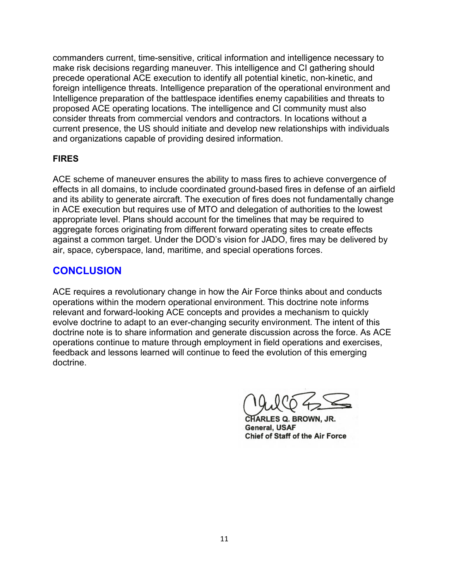commanders current, time-sensitive, critical information and intelligence necessary to make risk decisions regarding maneuver. This intelligence and CI gathering should precede operational ACE execution to identify all potential kinetic, non-kinetic, and foreign intelligence threats. Intelligence preparation of the operational environment and Intelligence preparation of the battlespace identifies enemy capabilities and threats to proposed ACE operating locations. The intelligence and CI community must also consider threats from commercial vendors and contractors. In locations without a current presence, the US should initiate and develop new relationships with individuals and organizations capable of providing desired information.

#### **FIRES**

ACE scheme of maneuver ensures the ability to mass fires to achieve convergence of effects in all domains, to include coordinated ground-based fires in defense of an airfield and its ability to generate aircraft. The execution of fires does not fundamentally change in ACE execution but requires use of MTO and delegation of authorities to the lowest appropriate level. Plans should account for the timelines that may be required to aggregate forces originating from different forward operating sites to create effects against a common target. Under the DOD's vision for JADO, fires may be delivered by air, space, cyberspace, land, maritime, and special operations forces.

#### **CONCLUSION**

ACE requires a revolutionary change in how the Air Force thinks about and conducts operations within the modern operational environment. This doctrine note informs relevant and forward-looking ACE concepts and provides a mechanism to quickly evolve doctrine to adapt to an ever-changing security environment. The intent of this doctrine note is to share information and generate discussion across the force. As ACE operations continue to mature through employment in field operations and exercises, feedback and lessons learned will continue to feed the evolution of this emerging doctrine.

ES Q. BROWN, JR. General, USAF **Chief of Staff of the Air Force**